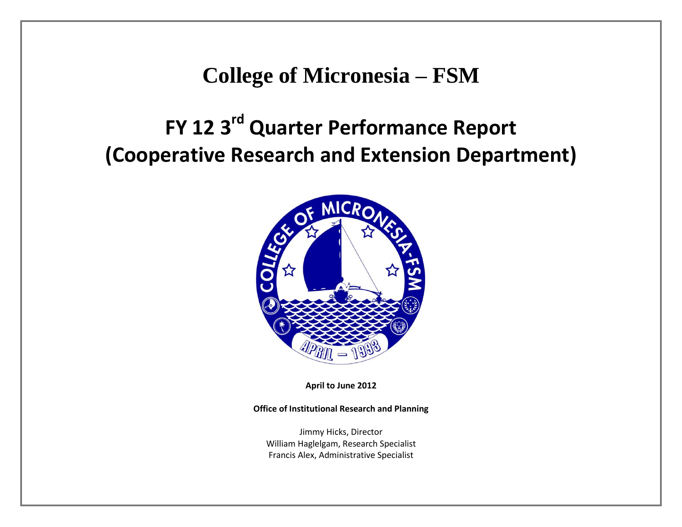## **College of Micronesia – FSM**

## **FY 12 3rd Quarter Performance Report (Cooperative Research and Extension Department)**



**April to June 2012**

**Office of Institutional Research and Planning**

Jimmy Hicks, Director William Haglelgam, Research Specialist Francis Alex, Administrative Specialist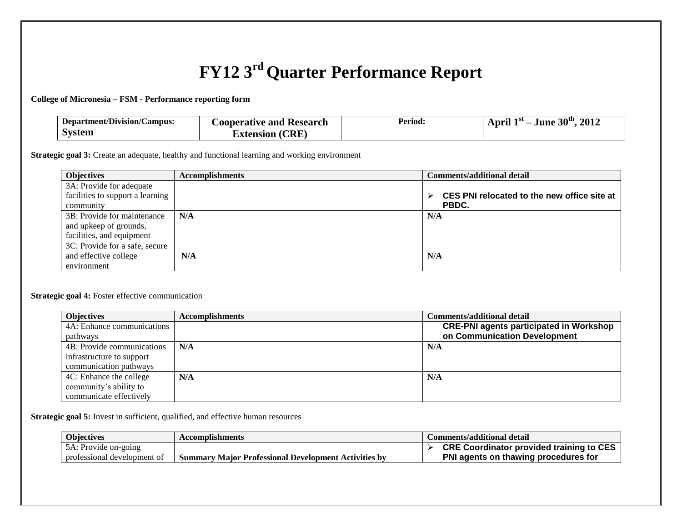## **FY12 3rd Quarter Performance Report**

**College of Micronesia – FSM - Performance reporting form**

| Department/Division/Campus: | Cooperative and Research | Period: | April $1st$ – June $30th$<br>2012 |
|-----------------------------|--------------------------|---------|-----------------------------------|
| System                      | <b>Extension (CRE)</b>   |         |                                   |

**Strategic goal 3:** Create an adequate, healthy and functional learning and working environment

| <b>Objectives</b>                | <b>Accomplishments</b> | <b>Comments/additional detail</b>                |  |
|----------------------------------|------------------------|--------------------------------------------------|--|
| 3A: Provide for adequate         |                        |                                                  |  |
| facilities to support a learning |                        | CES PNI relocated to the new office site at<br>⋗ |  |
| community                        |                        | PBDC.                                            |  |
| 3B: Provide for maintenance      | N/A                    | N/A                                              |  |
| and upkeep of grounds,           |                        |                                                  |  |
| facilities, and equipment        |                        |                                                  |  |
| 3C: Provide for a safe, secure   |                        |                                                  |  |
| and effective college            | N/A                    | N/A                                              |  |
| environment                      |                        |                                                  |  |

## **Strategic goal 4:** Foster effective communication

| <b>Objectives</b>          | <b>Accomplishments</b> | <b>Comments/additional detail</b>              |
|----------------------------|------------------------|------------------------------------------------|
| 4A: Enhance communications |                        | <b>CRE-PNI agents participated in Workshop</b> |
| pathways                   |                        | on Communication Development                   |
| 4B: Provide communications | N/A                    | N/A                                            |
| infrastructure to support  |                        |                                                |
| communication pathways     |                        |                                                |
| 4C: Enhance the college    | N/A                    | N/A                                            |
| community's ability to     |                        |                                                |
| communicate effectively    |                        |                                                |

**Strategic goal 5:** Invest in sufficient, qualified, and effective human resources

| <b>Objectives</b> |                             | <b>Accomplishments</b>                                      | Comments/additional detail                      |
|-------------------|-----------------------------|-------------------------------------------------------------|-------------------------------------------------|
|                   | 5A: Provide on-going        |                                                             | <b>CRE Coordinator provided training to CES</b> |
|                   | professional development of | <b>Summary Major Professional Development Activities by</b> | PNI agents on thawing procedures for            |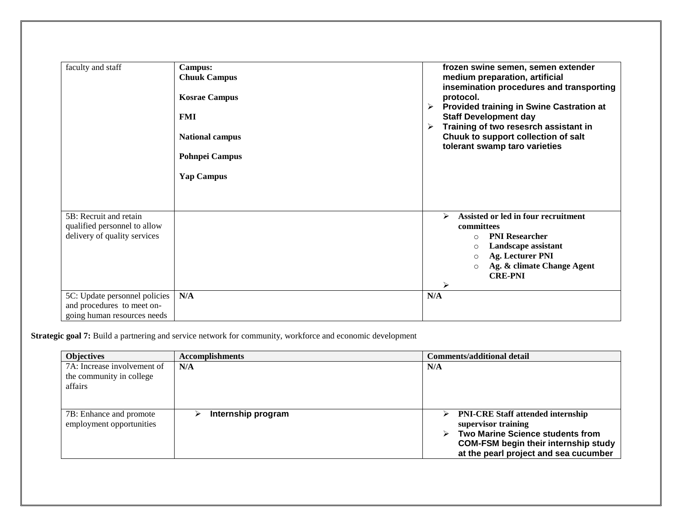| faculty and staff                                                                          | <b>Campus:</b><br><b>Chuuk Campus</b><br><b>Kosrae Campus</b><br><b>FMI</b><br><b>National campus</b><br><b>Pohnpei Campus</b><br><b>Yap Campus</b> | frozen swine semen, semen extender<br>medium preparation, artificial<br>insemination procedures and transporting<br>protocol.<br><b>Provided training in Swine Castration at</b><br>➤<br><b>Staff Development day</b><br>Training of two resesrch assistant in<br>≻<br>Chuuk to support collection of salt<br>tolerant swamp taro varieties |
|--------------------------------------------------------------------------------------------|-----------------------------------------------------------------------------------------------------------------------------------------------------|---------------------------------------------------------------------------------------------------------------------------------------------------------------------------------------------------------------------------------------------------------------------------------------------------------------------------------------------|
| 5B: Recruit and retain<br>qualified personnel to allow<br>delivery of quality services     |                                                                                                                                                     | Assisted or led in four recruitment<br>⋗<br>committees<br><b>PNI Researcher</b><br>$\bigcirc$<br>Landscape assistant<br>$\circ$<br><b>Ag. Lecturer PNI</b><br>$\circ$<br>Ag. & climate Change Agent<br>$\circ$<br><b>CRE-PNI</b><br>≻                                                                                                       |
| 5C: Update personnel policies<br>and procedures to meet on-<br>going human resources needs | N/A                                                                                                                                                 | N/A                                                                                                                                                                                                                                                                                                                                         |

**Strategic goal 7:** Build a partnering and service network for community, workforce and economic development

| <b>Objectives</b>                                                  | <b>Accomplishments</b>  | <b>Comments/additional detail</b>                                                                                                                                                                                 |  |
|--------------------------------------------------------------------|-------------------------|-------------------------------------------------------------------------------------------------------------------------------------------------------------------------------------------------------------------|--|
| 7A: Increase involvement of<br>the community in college<br>affairs | N/A                     | N/A                                                                                                                                                                                                               |  |
| 7B: Enhance and promote<br>employment opportunities                | Internship program<br>⋗ | <b>PNI-CRE Staff attended internship</b><br>➤<br>supervisor training<br>$\triangleright$ Two Marine Science students from<br><b>COM-FSM begin their internship study</b><br>at the pearl project and sea cucumber |  |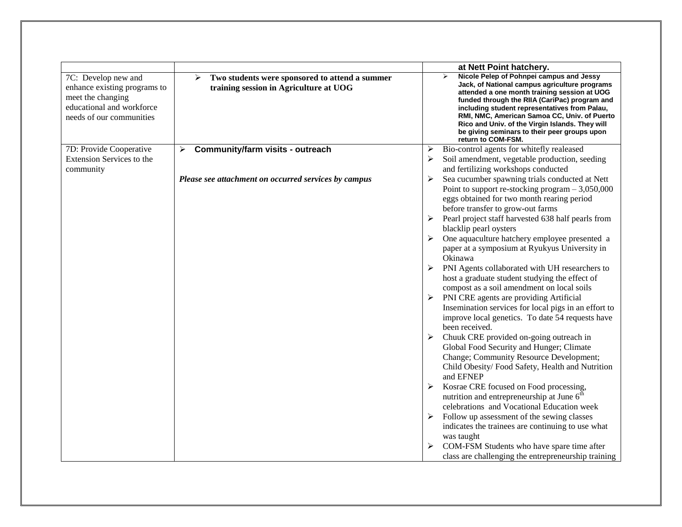|                                                                                                                                   |                                                                                               |   | at Nett Point hatchery.                                                                                                                                                                                                                                                                                                                                                                                                   |
|-----------------------------------------------------------------------------------------------------------------------------------|-----------------------------------------------------------------------------------------------|---|---------------------------------------------------------------------------------------------------------------------------------------------------------------------------------------------------------------------------------------------------------------------------------------------------------------------------------------------------------------------------------------------------------------------------|
| 7C: Develop new and<br>enhance existing programs to<br>meet the changing<br>educational and workforce<br>needs of our communities | Two students were sponsored to attend a summer<br>➤<br>training session in Agriculture at UOG |   | Nicole Pelep of Pohnpei campus and Jessy<br>➤<br>Jack, of National campus agriculture programs<br>attended a one month training session at UOG<br>funded through the RIIA (CariPac) program and<br>including student representatives from Palau,<br>RMI, NMC, American Samoa CC, Univ. of Puerto<br>Rico and Univ. of the Virgin Islands. They will<br>be giving seminars to their peer groups upon<br>return to COM-FSM. |
| 7D: Provide Cooperative                                                                                                           | Community/farm visits - outreach<br>$\blacktriangleright$                                     | ➤ | Bio-control agents for whitefly realeased                                                                                                                                                                                                                                                                                                                                                                                 |
| Extension Services to the                                                                                                         |                                                                                               |   | Soil amendment, vegetable production, seeding                                                                                                                                                                                                                                                                                                                                                                             |
| community                                                                                                                         |                                                                                               |   | and fertilizing workshops conducted                                                                                                                                                                                                                                                                                                                                                                                       |
|                                                                                                                                   | Please see attachment on occurred services by campus                                          | ➤ | Sea cucumber spawning trials conducted at Nett                                                                                                                                                                                                                                                                                                                                                                            |
|                                                                                                                                   |                                                                                               |   | Point to support re-stocking program $-3,050,000$                                                                                                                                                                                                                                                                                                                                                                         |
|                                                                                                                                   |                                                                                               |   | eggs obtained for two month rearing period                                                                                                                                                                                                                                                                                                                                                                                |
|                                                                                                                                   |                                                                                               |   | before transfer to grow-out farms                                                                                                                                                                                                                                                                                                                                                                                         |
|                                                                                                                                   |                                                                                               |   | Pearl project staff harvested 638 half pearls from<br>blacklip pearl oysters                                                                                                                                                                                                                                                                                                                                              |
|                                                                                                                                   |                                                                                               | ➤ | One aquaculture hatchery employee presented a                                                                                                                                                                                                                                                                                                                                                                             |
|                                                                                                                                   |                                                                                               |   | paper at a symposium at Ryukyus University in                                                                                                                                                                                                                                                                                                                                                                             |
|                                                                                                                                   |                                                                                               |   | Okinawa                                                                                                                                                                                                                                                                                                                                                                                                                   |
|                                                                                                                                   |                                                                                               |   | PNI Agents collaborated with UH researchers to                                                                                                                                                                                                                                                                                                                                                                            |
|                                                                                                                                   |                                                                                               |   | host a graduate student studying the effect of                                                                                                                                                                                                                                                                                                                                                                            |
|                                                                                                                                   |                                                                                               |   | compost as a soil amendment on local soils                                                                                                                                                                                                                                                                                                                                                                                |
|                                                                                                                                   |                                                                                               |   | PNI CRE agents are providing Artificial                                                                                                                                                                                                                                                                                                                                                                                   |
|                                                                                                                                   |                                                                                               |   | Insemination services for local pigs in an effort to                                                                                                                                                                                                                                                                                                                                                                      |
|                                                                                                                                   |                                                                                               |   | improve local genetics. To date 54 requests have<br>been received.                                                                                                                                                                                                                                                                                                                                                        |
|                                                                                                                                   |                                                                                               |   | Chuuk CRE provided on-going outreach in                                                                                                                                                                                                                                                                                                                                                                                   |
|                                                                                                                                   |                                                                                               |   | Global Food Security and Hunger; Climate                                                                                                                                                                                                                                                                                                                                                                                  |
|                                                                                                                                   |                                                                                               |   | Change; Community Resource Development;                                                                                                                                                                                                                                                                                                                                                                                   |
|                                                                                                                                   |                                                                                               |   | Child Obesity/Food Safety, Health and Nutrition                                                                                                                                                                                                                                                                                                                                                                           |
|                                                                                                                                   |                                                                                               |   | and EFNEP                                                                                                                                                                                                                                                                                                                                                                                                                 |
|                                                                                                                                   |                                                                                               |   | Kosrae CRE focused on Food processing,                                                                                                                                                                                                                                                                                                                                                                                    |
|                                                                                                                                   |                                                                                               |   | nutrition and entrepreneurship at June $6^{\overline{h}}$                                                                                                                                                                                                                                                                                                                                                                 |
|                                                                                                                                   |                                                                                               |   | celebrations and Vocational Education week                                                                                                                                                                                                                                                                                                                                                                                |
|                                                                                                                                   |                                                                                               | ➤ | Follow up assessment of the sewing classes                                                                                                                                                                                                                                                                                                                                                                                |
|                                                                                                                                   |                                                                                               |   | indicates the trainees are continuing to use what                                                                                                                                                                                                                                                                                                                                                                         |
|                                                                                                                                   |                                                                                               |   | was taught                                                                                                                                                                                                                                                                                                                                                                                                                |
|                                                                                                                                   |                                                                                               |   | COM-FSM Students who have spare time after                                                                                                                                                                                                                                                                                                                                                                                |
|                                                                                                                                   |                                                                                               |   | class are challenging the entrepreneurship training                                                                                                                                                                                                                                                                                                                                                                       |